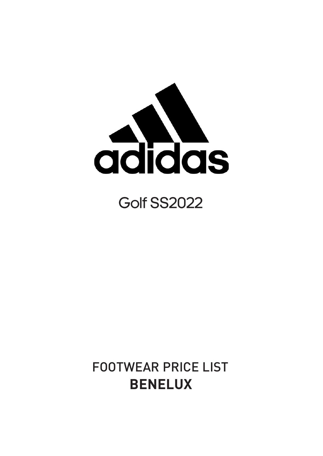

## **Golf SS2022**

## FOOTWEAR PRICE LIST **BENELUX**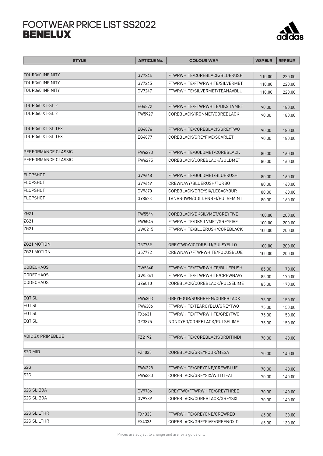## FOOTWEAR PRICE LIST SS2022



| <b>STYLE</b>               | <b>ARTICLE No.</b> | <b>COLOUR WAY</b>             | <b>WSP EUR</b> | <b>RRP EUR</b> |
|----------------------------|--------------------|-------------------------------|----------------|----------------|
|                            |                    |                               |                |                |
| TOUR360 INFINITY           | GV7244             | FTWRWHITE/COREBLACK/BLUERUSH  | 110.00         | 220.00         |
| TOUR360 INFINITY           | GV7245             | FTWRWHITE/FTWRWHITE/SILVERMET | 110.00         | 220.00         |
| TOUR360 INFINITY           | GV7247             | FTWRWHITE/SILVERMET/TEANAVBLU | 110.00         | 220.00         |
|                            |                    |                               |                |                |
| <b>TOUR360 XT-SL 2</b>     | EG4872             | FTWRWHITE/FTWRWHITE/DKSILVMET | 90.00          | 180.00         |
| TOUR360 XT-SL 2            | FW5927             | COREBLACK/IRONMET/COREBLACK   | 90.00          | 180.00         |
|                            |                    |                               |                |                |
| TOUR360 XT-SL TEX          | EG4876             | FTWRWHITE/COREBLACK/GREYTWO   | 90.00          | 180.00         |
| TOUR360 XT-SL TEX          | EG4877             | COREBLACK/GREYFIVE/SCARLET    | 90.00          | 180.00         |
|                            |                    |                               |                |                |
| <b>PERFORMANCE CLASSIC</b> | FW6273             | FTWRWHITE/GOLDMET/COREBLACK   | 80.00          | 160.00         |
| PERFORMANCE CLASSIC        | FW6275             | COREBLACK/COREBLACK/GOLDMET   | 80.00          | 160.00         |
|                            |                    |                               |                |                |
| FLOPSHOT                   | GV9668             | FTWRWHITE/GOLDMET/BLUERUSH    | 80.00          | 160.00         |
| <b>FLOPSHOT</b>            | GV9669             | CREWNAVY/BLUERUSH/TURBO       | 80.00          | 160.00         |
| <b>FLOPSHOT</b>            | GV9670             | COREBLACK/GREYSIX/LEGACYBUR   | 80.00          | 160.00         |
| FLOPSHOT                   | GY8523             | TANBROWN/GOLDENBEI/PULSEMINT  | 80.00          | 160.00         |
|                            |                    |                               |                |                |
| ZG21                       | FW5544             | COREBLACK/DKSILVMET/GREYFIVE  | 100.00         | 200.00         |
| ZG21                       | FW5545             | FTWRWHITE/DKSILVMET/GREYFIVE  | 100.00         | 200.00         |
| ZG21                       | GW0215             | FTWRWHITE/BLUERUSH/COREBLACK  |                |                |
|                            |                    |                               | 100.00         | 200.00         |
| ZG21 MOTION                | G57769             | GREYTWO/VICTORBLU/PULSYELLO   | 100.00         | 200.00         |
| ZG21 MOTION                | G57772             | CREWNAVY/FTWRWHITE/FOCUSBLUE  |                |                |
|                            |                    |                               | 100.00         | 200.00         |
| <b>CODECHAOS</b>           | GW5340             | FTWRWHITE/FTWRWHITE/BLUERUSH  | 85.00          | 170.00         |
| <b>CODECHAOS</b>           | GW5341             | FTWRWHITE/FTWRWHITE/CREWNAVY  | 85.00          | 170.00         |
| <b>CODECHAOS</b>           | GZ6010             | COREBLACK/COREBLACK/PULSELIME | 85.00          | 170.00         |
|                            |                    |                               |                |                |
| EQT SL                     | FW6303             | GREYFOUR/SUBGREEN/COREBLACK   | 75.00          | 150.00         |
| EQT SL                     | FW6306             | FTWRWHITE/TEAROYBLU/GREYTWO   | 75.00          | 150.00         |
| EQT <sub>SL</sub>          | FX6631             | FTWRWHITE/FTWRWHITE/GREYTWO   | 75.00          | 150.00         |
| EQT SL                     | GZ3895             | NONDYED/COREBLACK/PULSELIME   | 75.00          | 150.00         |
|                            |                    |                               |                |                |
| <b>ADIC ZX PRIMEBLUE</b>   | FZ2192             | FTWRWHITE/COREBLACK/ORBITINDI | 70.00          | 140.00         |
|                            |                    |                               |                |                |
| S2G MID                    | FZ1035             | COREBLACK/GREYFOUR/MESA       |                |                |
|                            |                    |                               | 70.00          | 140.00         |
| S2G                        | FW6328             | FTWRWHITE/GREYONE/CREWBLUE    | 70.00          | 140.00         |
| S2G                        | FW6330             | COREBLACK/GREYSIX/WILDTEAL    | 70.00          | 140.00         |
|                            |                    |                               |                |                |
| S2G SL BOA                 | GV9786             | GREYTWO/FTWRWHITE/GREYTHREE   |                |                |
| S2G SL BOA                 | GV9789             | COREBLACK/COREBLACK/GREYSIX   | 70.00          | 140.00         |
|                            |                    |                               | 70.00          | 140.00         |
| S <sub>2G</sub> SL LTHR    | FX4333             | FTWRWHITE/GREYONE/CREWRED     | 65.00          | 130.00         |
| S2G SL LTHR                | FX4336             | COREBLACK/GREYFIVE/GREENOXID  | 65.00          | 130.00         |
|                            |                    |                               |                |                |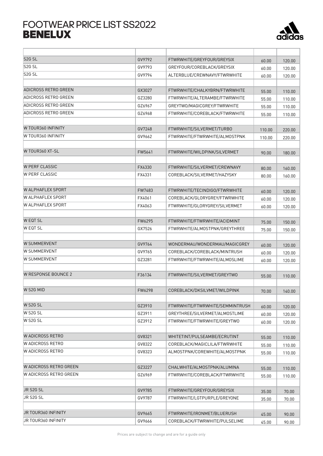## FOOTWEAR PRICE LIST SS2022



| S <sub>2G</sub> SL         | GV9792 | FTWRWHITE/GREYFOUR/GREYSIX      | 60.00          | 120.00           |
|----------------------------|--------|---------------------------------|----------------|------------------|
| S2G S <sub>L</sub>         | GV9793 | GREYFOUR/COREBLACK/GREYSIX      | 60.00          | 120.00           |
| S <sub>2G</sub> SL         | GV9794 | ALTERBLUE/CREWNAVY/FTWRWHITE    | 60.00          | 120.00           |
| ADICROSS RETRO GREEN       | GX3027 | FTWRWHITE/CHALKYBRN/FTWRWHITE   | 55.00          | 110.00           |
| ADICROSS RETRO GREEN       | GZ3280 | FTWRWHITE/ALTERAMBE/FTWRWHITE   | 55.00          | 110.00           |
| ADICROSS RETRO GREEN       | GZ6967 | GREYTWO/MAGICGREY/FTWRWHITE     | 55.00          | 110.00           |
| ADICROSS RETRO GREEN       | GZ6968 | FTWRWHITE/COREBLACK/FTWRWHITE   | 55.00          | 110.00           |
| W TOUR360 INFINITY         | GV7248 | FTWRWHITE/SILVERMET/TURBO       | 110.00         | 220.00           |
| W TOUR360 INFINITY         | GV9662 | FTWRWHITE/FTWRWHITE/ALMOSTPNK   | 110.00         | 220.00           |
| W TOUR360 XT-SL            | FW5641 | FTWRWHITE/WILDPINK/SILVERMET    | 90.00          | 180.00           |
| <b>W PERF CLASSIC</b>      | FX4330 | FTWRWHITE/SILVERMET/CREWNAVY    | 80.00          | 160.00           |
| <b>W PERF CLASSIC</b>      | FX4331 | COREBLACK/SILVERMET/HAZYSKY     | 80.00          | 160.00           |
| <b>W ALPHAFLEX SPORT</b>   | FW7483 | FTWRWHITE/TECINDIGO/FTWRWHITE   | 60.00          | 120.00           |
| W ALPHAFLEX SPORT          | FX4061 | COREBLACK/GLORYGREY/FTWRWHITE   | 60.00          | 120.00           |
| <b>W ALPHAFLEX SPORT</b>   | FX4063 | FTWRWHITE/GLORYGREY/SILVERMET   | 60.00          | 120.00           |
| <b>WEQT SL</b>             | FW6295 | FTWRWHITE/FTWRWHITE/ACIDMINT    | 75.00          | 150.00           |
| <b>W EQT SL</b>            | GX7526 | FTWRWHITE/ALMOSTPNK/GREYTHREE   |                |                  |
|                            |        |                                 | 75.00          | 150.00           |
| <b>W SUMMERVENT</b>        | GV9764 | WONDERMAU/WONDERMAU/MAGICGREY   | 60.00          | 120.00           |
| <b>W SUMMERVENT</b>        | GV9765 | COREBLACK/COREBLACK/MINTRUSH    | 60.00          | 120.00           |
| W SUMMERVENT               | GZ3281 | FTWRWHITE/FTWRWHITE/ALMOSLIME   | 60.00          | 120.00           |
| <b>W RESPONSE BOUNCE 2</b> | F36134 | FTWRWHITE/SILVERMET/GREYTWO     | 55.00          | 110.00           |
| W S2G MID                  | FW6298 | COREBLACK/DKSILVMET/WILDPINK    | 70.00          | 140.00           |
| W S2G SL                   | GZ3910 | FTWRWHITE/FTWRWHITE/SEMMINTRUSH | 60.00          | 120.00           |
| W S2G SL                   | GZ3911 | GREYTHREE/SILVERMET/ALMOSTLIME  | 60.00          | 120.00           |
| W S2G SL                   | GZ3912 | FTWRWHITE/FTWRWHITE/GREYTWO     | 60.00          | 120.00           |
| W ADICROSS RETRO           | GV8321 | WHITETINT/PULSEAMBE/ECRUTINT    |                |                  |
| W ADICROSS RETRO           | GV8322 | COREBLACK/MAGICLILA/FTWRWHITE   | 55.00          | 110.00           |
| W ADICROSS RETRO           | GV8323 | ALMOSTPNK/COREWHITE/ALMOSTPNK   | 55.00<br>55.00 | 110.00<br>110.00 |
| W ADICROSS RETRO GREEN     |        |                                 |                |                  |
|                            | GZ3227 | CHALWHITE/ALMOSTPNK/ALUMINA     | 55.00          | 110.00           |
| W ADICROSS RETRO GREEN     | GZ6969 | FTWRWHITE/COREBLACK/FTWRWHITE   | 55.00          | 110.00           |
| JR S2G SL                  | GV9785 | FTWRWHITE/GREYFOUR/GREYSIX      | 35.00          | 70.00            |
| JR S2G SL                  | GV9787 | FTWRWHITE/LGTPURPLE/GREYONE     | 35.00          | 70.00            |
| JR TOUR360 INFINITY        | GV9665 | FTWRWHITE/IRONMET/BLUERUSH      | 45.00          | 90.00            |
| JR TOUR360 INFINITY        | GV9666 | COREBLACK/FTWRWHITE/PULSELIME   | 45.00          | 90.00            |